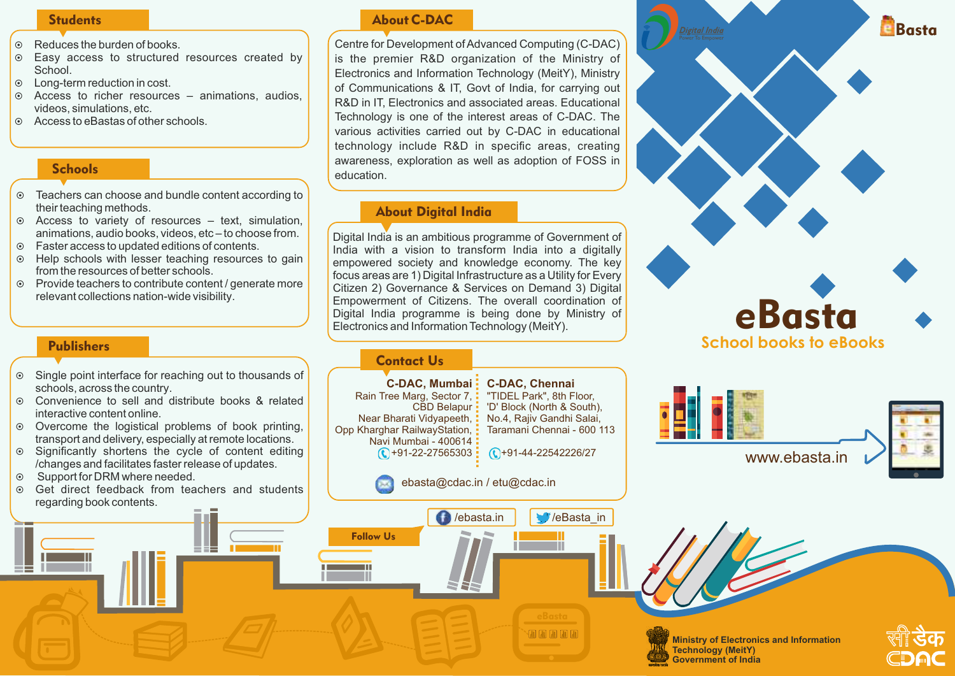#### **Students**

- $\odot$  Reduces the burden of books.
- $\odot$  Easy access to structured resources created by School.
- $\odot$  Long-term reduction in cost.
- $\circ$  Access to richer resources animations, audios, videos, simulations, etc.
- $\odot$  Access to eBastas of other schools.

# **Schools**

- ¤ Teachers can choose and bundle content according to their teaching methods.
- $\odot$  Access to variety of resources text, simulation, animations, audio books, videos, etc – to choose from.
- $\odot$  Faster access to updated editions of contents.
- $\odot$  Help schools with lesser teaching resources to gain from the resources of better schools.
- ¤ Provide teachers to contribute content / generate more relevant collections nation-wide visibility.

### Publishers

- ¤ Single point interface for reaching out to thousands of schools, across the country.
- ¤ Convenience to sell and distribute books & related interactive content online.
- $\odot$  Overcome the logistical problems of book printing, transport and delivery, especially at remote locations.
- $\circ$  Significantly shortens the cycle of content editing /changes and facilitates faster release of updates.
- ◎ Support for DRM where needed.
- ◎ Get direct feedback from teachers and students regarding book contents.

# About C-DAC

Centre for Development of Advanced Computing (C-DAC) is the premier R&D organization of the Ministry of Electronics and Information Technology (MeitY), Ministry of Communications & IT, Govt of India, for carrying out R&D in IT, Electronics and associated areas. Educational Technology is one of the interest areas of C-DAC. The various activities carried out by C-DAC in educational technology include R&D in specific areas, creating awareness, exploration as well as adoption of FOSS in education.

## About Digital India

Digital India is an ambitious programme of Government of India with a vision to transform India into a digitally empowered society and knowledge economy. The key focus areas are 1) Digital Infrastructure as a Utility for Every Citizen 2) Governance & Services on Demand 3) Digital Empowerment of Citizens. The overall coordination of Digital India programme is being done by Ministry of Electronics and Information Technology (MeitY).

#### Contact Us

Follow Us



**Earn Card Card Card** 









**Ministry of Electronics and Information Technology (MeitY) Government of India**